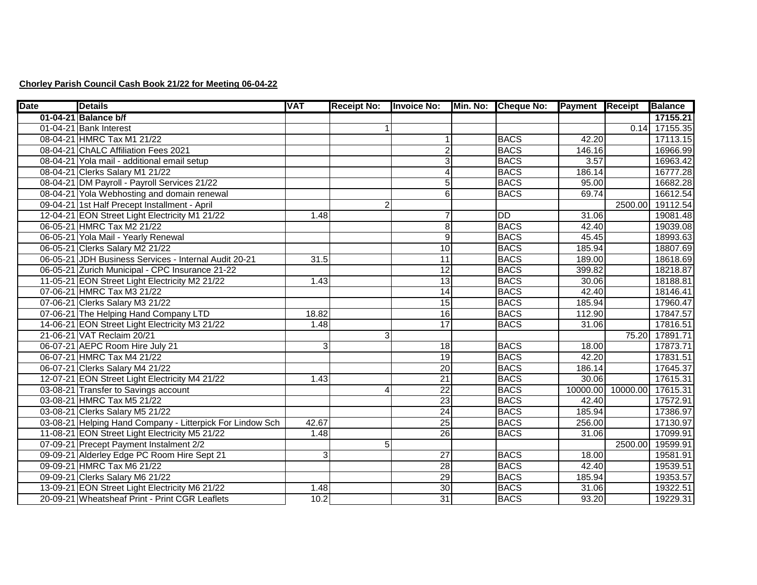## **Chorley Parish Council Cash Book 21/22 for Meeting 06-04-22**

| <b>Date</b> | <b>Details</b>                                            | <b>VAT</b> | <b>Receipt No:</b> | <b>Invoice No:</b> | Min. No: | <b>Cheque No:</b> | <b>Payment Receipt</b> |                   | <b>Balance</b>  |
|-------------|-----------------------------------------------------------|------------|--------------------|--------------------|----------|-------------------|------------------------|-------------------|-----------------|
|             | 01-04-21 Balance b/f                                      |            |                    |                    |          |                   |                        |                   | 17155.21        |
|             | 01-04-21 Bank Interest                                    |            |                    |                    |          |                   |                        |                   | $0.14$ 17155.35 |
|             | 08-04-21 HMRC Tax M1 21/22                                |            |                    | 1                  |          | <b>BACS</b>       | 42.20                  |                   | 17113.15        |
|             | 08-04-21 ChALC Affiliation Fees 2021                      |            |                    | $\overline{2}$     |          | <b>BACS</b>       | 146.16                 |                   | 16966.99        |
|             | 08-04-21 Yola mail - additional email setup               |            |                    | دى                 |          | <b>BACS</b>       | 3.57                   |                   | 16963.42        |
|             | 08-04-21 Clerks Salary M1 21/22                           |            |                    | 4                  |          | <b>BACS</b>       | 186.14                 |                   | 16777.28        |
|             | 08-04-21 DM Payroll - Payroll Services 21/22              |            |                    | 5                  |          | <b>BACS</b>       | 95.00                  |                   | 16682.28        |
|             | 08-04-21 Yola Webhosting and domain renewal               |            |                    | 6                  |          | <b>BACS</b>       | 69.74                  |                   | 16612.54        |
|             | 09-04-21 1st Half Precept Installment - April             |            | $\overline{2}$     |                    |          |                   |                        | 2500.00           | 19112.54        |
|             | 12-04-21 EON Street Light Electricity M1 21/22            | 1.48       |                    | 7                  |          | DD                | 31.06                  |                   | 19081.48        |
|             | 06-05-21 HMRC Tax M2 21/22                                |            |                    | 8                  |          | <b>BACS</b>       | 42.40                  |                   | 19039.08        |
|             | 06-05-21 Yola Mail - Yearly Renewal                       |            |                    | $\overline{9}$     |          | <b>BACS</b>       | 45.45                  |                   | 18993.63        |
|             | 06-05-21 Clerks Salary M2 21/22                           |            |                    | 10                 |          | <b>BACS</b>       | 185.94                 |                   | 18807.69        |
|             | 06-05-21 JDH Business Services - Internal Audit 20-21     | 31.5       |                    | 11                 |          | <b>BACS</b>       | 189.00                 |                   | 18618.69        |
|             | 06-05-21 Zurich Municipal - CPC Insurance 21-22           |            |                    | 12                 |          | <b>BACS</b>       | 399.82                 |                   | 18218.87        |
|             | 11-05-21 EON Street Light Electricity M2 21/22            | 1.43       |                    | 13                 |          | <b>BACS</b>       | 30.06                  |                   | 18188.81        |
|             | 07-06-21 HMRC Tax M3 21/22                                |            |                    | 14                 |          | <b>BACS</b>       | 42.40                  |                   | 18146.41        |
|             | 07-06-21 Clerks Salary M3 21/22                           |            |                    | 15                 |          | <b>BACS</b>       | 185.94                 |                   | 17960.47        |
|             | 07-06-21 The Helping Hand Company LTD                     | 18.82      |                    | 16                 |          | <b>BACS</b>       | 112.90                 |                   | 17847.57        |
|             | 14-06-21 EON Street Light Electricity M3 21/22            | 1.48       |                    | 17                 |          | <b>BACS</b>       | 31.06                  |                   | 17816.51        |
|             | 21-06-21 VAT Reclaim 20/21                                |            | 3                  |                    |          |                   |                        | 75.20             | 17891.71        |
|             | 06-07-21 AEPC Room Hire July 21                           | 3          |                    | 18                 |          | <b>BACS</b>       | 18.00                  |                   | 17873.71        |
|             | 06-07-21 HMRC Tax M4 21/22                                |            |                    | 19                 |          | <b>BACS</b>       | 42.20                  |                   | 17831.51        |
|             | 06-07-21 Clerks Salary M4 21/22                           |            |                    | 20                 |          | <b>BACS</b>       | 186.14                 |                   | 17645.37        |
|             | 12-07-21 EON Street Light Electricity M4 21/22            | 1.43       |                    | 21                 |          | <b>BACS</b>       | 30.06                  |                   | 17615.31        |
|             | 03-08-21 Transfer to Savings account                      |            | $\Lambda$          | $\overline{22}$    |          | <b>BACS</b>       |                        | 10000.00 10000.00 | 17615.31        |
|             | 03-08-21 HMRC Tax M5 21/22                                |            |                    | 23                 |          | <b>BACS</b>       | 42.40                  |                   | 17572.91        |
|             | 03-08-21 Clerks Salary M5 21/22                           |            |                    | 24                 |          | <b>BACS</b>       | 185.94                 |                   | 17386.97        |
|             | 03-08-21 Helping Hand Company - Litterpick For Lindow Sch | 42.67      |                    | 25                 |          | <b>BACS</b>       | 256.00                 |                   | 17130.97        |
|             | 11-08-21 EON Street Light Electricity M5 21/22            | 1.48       |                    | $\overline{26}$    |          | <b>BACS</b>       | 31.06                  |                   | 17099.91        |
|             | 07-09-21 Precept Payment Instalment 2/2                   |            | 5 <sub>l</sub>     |                    |          |                   |                        | 2500.00           | 19599.91        |
|             | 09-09-21 Alderley Edge PC Room Hire Sept 21               | 3          |                    | $\overline{27}$    |          | <b>BACS</b>       | 18.00                  |                   | 19581.91        |
|             | 09-09-21 HMRC Tax M6 21/22                                |            |                    | $\overline{28}$    |          | <b>BACS</b>       | 42.40                  |                   | 19539.51        |
|             | 09-09-21 Clerks Salary M6 21/22                           |            |                    | 29                 |          | <b>BACS</b>       | 185.94                 |                   | 19353.57        |
|             | 13-09-21 EON Street Light Electricity M6 21/22            | 1.48       |                    | 30                 |          | <b>BACS</b>       | 31.06                  |                   | 19322.51        |
|             | 20-09-21 Wheatsheaf Print - Print CGR Leaflets            | 10.2       |                    | 31                 |          | <b>BACS</b>       | 93.20                  |                   | 19229.31        |